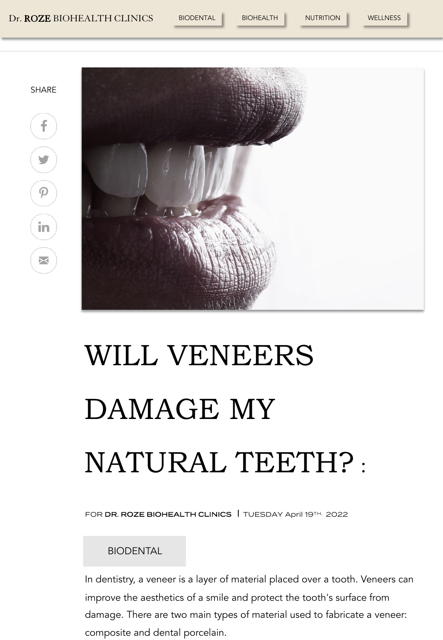#### Dr. ROZE BIOHEALTH CLINICS BIODENTAL BIOHEALTH NUTRITION WELLNESS



f

**V** 

 $\varphi$ 

in

⊠



# WILL VENEERS DAMAGE MY NATURAL TEETH? :

FOR DR. ROZE BIOHEALTH CLINICS | TUESDAY April 19TH, 2022

### BIODENTAL

In dentistry, a veneer is a layer of material placed over a tooth. Veneers can improve the aesthetics of a smile and protect the tooth's surface from damage. There are two main types of material used to fabricate a veneer: composite and dental porcelain.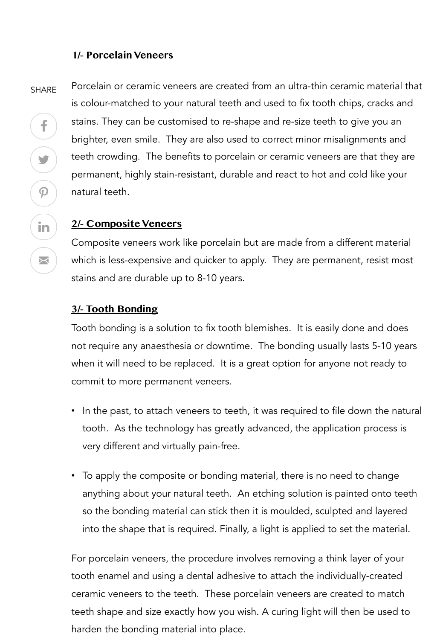## **1/- Porcelain Veneers**

SHARE

f

 $\blacktriangleright$ 

 $\mathcal{P}$ 

in

 $\Join$ 

Porcelain or ceramic veneers are created from an ultra-thin ceramic material that is colour-matched to your natural teeth and used to fix tooth chips, cracks and stains. They can be customised to re-shape and re-size teeth to give you an brighter, even smile. They are also used to correct minor misalignments and teeth crowding. The benefits to porcelain or ceramic veneers are that they are permanent, highly stain-resistant, durable and react to hot and cold like your natural teeth.

## **2/- Composite Veneers**

Composite veneers work like porcelain but are made from a different material which is less-expensive and quicker to apply. They are permanent, resist most stains and are durable up to 8-10 years.

### **3/- Tooth Bonding**

Tooth bonding is a solution to fix tooth blemishes. It is easily done and does not require any anaesthesia or downtime. The bonding usually lasts 5-10 years when it will need to be replaced. It is a great option for anyone not ready to commit to more permanent veneers.

- In the past, to attach veneers to teeth, it was required to file down the natural tooth. As the technology has greatly advanced, the application process is very different and virtually pain-free.
- To apply the composite or bonding material, there is no need to change anything about your natural teeth. An etching solution is painted onto teeth so the bonding material can stick then it is moulded, sculpted and layered into the shape that is required. Finally, a light is applied to set the material.

For porcelain veneers, the procedure involves removing a think layer of your tooth enamel and using a dental adhesive to attach the individually-created ceramic veneers to the teeth. These porcelain veneers are created to match teeth shape and size exactly how you wish. A curing light will then be used to harden the bonding material into place.